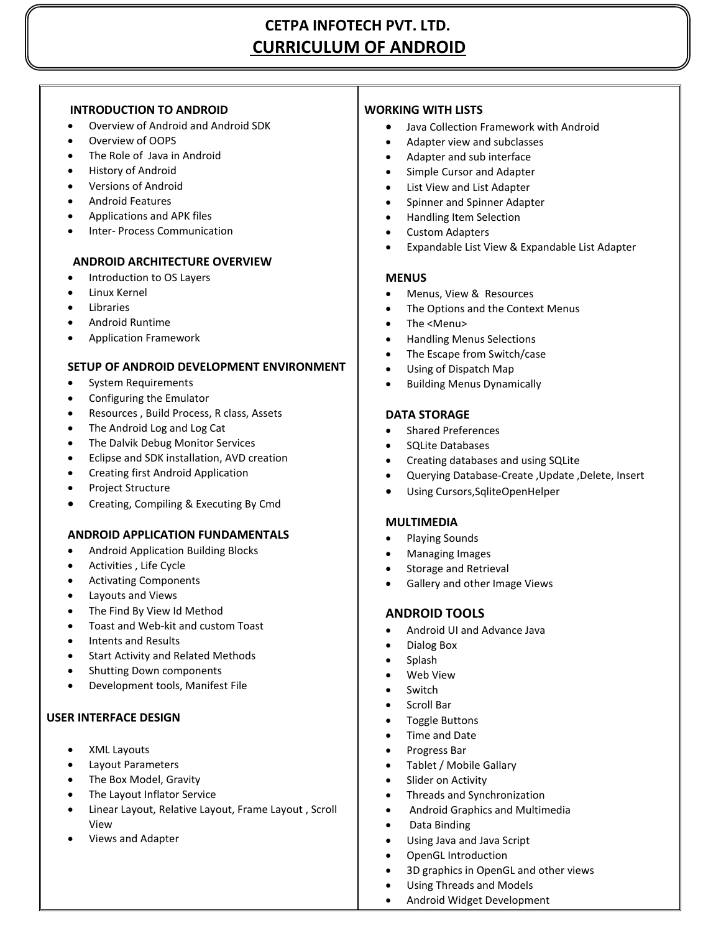# **CETPA INFOTECH PVT. LTD. CURRICULUM OF ANDROID**

## **INTRODUCTION TO ANDROID**

- Overview of Android and Android SDK
- Overview of OOPS
- The Role of Java in Android
- History of Android
- Versions of Android
- Android Features
- Applications and APK files
- Inter- Process Communication

## **ANDROID ARCHITECTURE OVERVIEW**

- Introduction to OS Layers
- Linux Kernel
- Libraries
- Android Runtime
- Application Framework

#### **SETUP OF ANDROID DEVELOPMENT ENVIRONMENT**

- System Requirements
- Configuring the Emulator
- Resources , Build Process, R class, Assets
- The Android Log and Log Cat
- The Dalvik Debug Monitor Services
- Eclipse and SDK installation, AVD creation
- Creating first Android Application
- Project Structure
- Creating, Compiling & Executing By Cmd

#### **ANDROID APPLICATION FUNDAMENTALS**

- **•** Android Application Building Blocks
- Activities , Life Cycle
- Activating Components
- Layouts and Views
- The Find By View Id Method
- Toast and Web-kit and custom Toast
- Intents and Results
- Start Activity and Related Methods
- Shutting Down components
- Development tools, Manifest File

#### **USER INTERFACE DESIGN**

- XML Layouts
- Layout Parameters
- The Box Model, Gravity
- The Layout Inflator Service
- Linear Layout, Relative Layout, Frame Layout , Scroll View
- Views and Adapter

## **WORKING WITH LISTS**

- Java Collection Framework with Android
- Adapter view and subclasses
- Adapter and sub interface
- Simple Cursor and Adapter
- List View and List Adapter
- Spinner and Spinner Adapter
- Handling Item Selection
- Custom Adapters
- Expandable List View & Expandable List Adapter

#### **MENUS**

- Menus, View & Resources
- The Options and the Context Menus
- The <Menu>
- Handling Menus Selections
- The Escape from Switch/case
- Using of Dispatch Map
- Building Menus Dynamically

#### **DATA STORAGE**

- Shared Preferences
- SQLite Databases
- Creating databases and using SQLite
- Querying Database-Create ,Update ,Delete, Insert
- Using Cursors,SqliteOpenHelper

#### **MULTIMEDIA**

- Playing Sounds
- Managing Images
- Storage and Retrieval
- Gallery and other Image Views

## **ANDROID TOOLS**

- Android UI and Advance Java
- Dialog Box
	- Splash
- Web View
- Switch
- Scroll Bar
- Toggle Buttons
- Time and Date
- Progress Bar
- Tablet / Mobile Gallary
- Slider on Activity
- Threads and Synchronization
- Android Graphics and Multimedia
- Data Binding
- Using Java and Java Script
- OpenGL Introduction
- 3D graphics in OpenGL and other views
- Using Threads and Models
- Android Widget Development